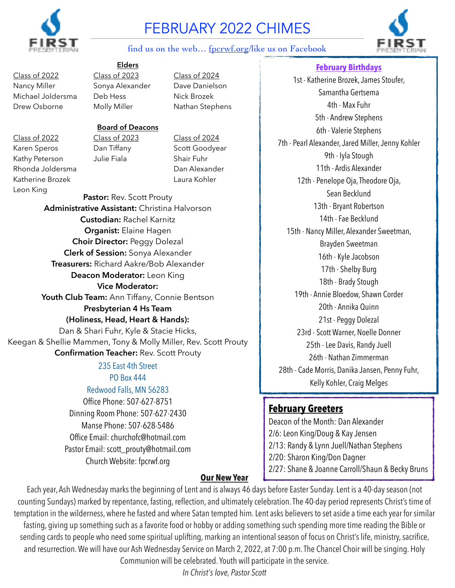

# FEBRUARY 2022 CHIMES



#### find us on the web… [fpcrwf.org/](http://fpcrwf.org)like us on Facebook

# **Elders**

Class of 2022 Class of 2023 Class of 2024 Nancy Miller Sonya Alexander Dave Danielson Michael Joldersma Deb Hess Nick Brozek Drew Osborne Molly Miller Nathan Stephens

#### **Board of Deacons**

Kathy Peterson Julie Fiala Shair Fuhr

Class of 2022 Class of 2023 Class of 2024 Karen Speros Dan Tiffany Scott Goodyear

235 East 4th Street Pastor: Rev. Scott Prouty **Administrative Assistant:** Christina Halvorson **Custodian:** Rachel Karnitz **Organist:** Elaine Hagen **Choir Director:** Peggy Dolezal **Clerk of Session:** Sonya Alexander **Treasurers:** Richard Aakre/Bob Alexander **Deacon Moderator:** Leon King **Vice Moderator:** Youth Club Team: Ann Tiffany, Connie Bentson **Presbyterian 4 Hs Team (Holiness, Head, Heart & Hands):** Dan & Shari Fuhr, Kyle & Stacie Hicks, Keegan & Shellie Mammen, Tony & Molly Miller, Rev. Scott Prouty **Confirmation Teacher:** Rev. Scott Prouty Rhonda Joldersma<br>
Dan Alexander Katherine Brozek Laura Kohler Leon King

# PO Box 444

Redwood Falls, MN 56283

Office Phone: 507-627-8751 Dinning Room Phone: 507-627-2430 Manse Phone: 507-628-5486 Office Email: [churchofc@hotmail.com](mailto:churchofc@hotmail.com) Pastor Email: [scott\\_prouty@hotmail.com](mailto:scott_prouty@hotmail.com) Church Website: [fpcrwf.org](http://fpcrwf.org)

Samantha Gertsema 4th - Max Fuhr 5th - Andrew Stephens 6th - Valerie Stephens 7th - Pearl Alexander, Jared Miller, Jenny Kohler 9th - Iyla Stough 11th - Ardis Alexander 12th - Penelope Oja, Theodore Oja, Sean Becklund 13th - Bryant Robertson 14th - Fae Becklund 15th - Nancy Miller, Alexander Sweetman, Brayden Sweetman 16th - Kyle Jacobson 17th - Shelby Burg 18th - Brady Stough 19th - Annie Bloedow, Shawn Corder 20th - Annika Quinn 21st - Peggy Dolezal 23rd - Scott Warner, Noelle Donner 25th - Lee Davis, Randy Juell 26th - Nathan Zimmerman 28th - Cade Morris, Danika Jansen, Penny Fuhr, Kelly Kohler, Craig Melges

**February Birthdays** 1st - Katherine Brozek, James Stoufer,

# **February Greeters**

Deacon of the Month: Dan Alexander 2/6: Leon King/Doug & Kay Jensen 2/13: Randy & Lynn Juell/Nathan Stephens 2/20: Sharon King/Don Dagner 2/27: Shane & Joanne Carroll/Shaun & Becky Bruns **Our New Year**

Each year, Ash Wednesday marks the beginning of Lent and is always 46 days before Easter Sunday. Lent is a 40-day season (not counting Sundays) marked by repentance, fasting, reflection, and ultimately celebration. The 40-day period represents Christ's time of temptation in the wilderness, where he fasted and where Satan tempted him. Lent asks believers to set aside a time each year for similar fasting, giving up something such as a favorite food or hobby or adding something such spending more time reading the Bible or sending cards to people who need some spiritual uplifting, marking an intentional season of focus on Christ's life, ministry, sacrifice, and resurrection. We will have our Ash Wednesday Service on March 2, 2022, at 7:00 p.m. The Chancel Choir will be singing. Holy Communion will be celebrated. Youth will participate in the service.

*In Christ's love, Pastor Scott*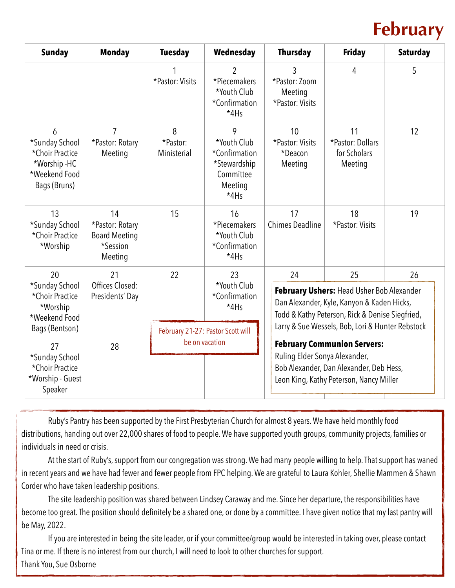# **February**

| <b>Sunday</b>                                                                           | <b>Monday</b>                                                        | <b>Tuesday</b>                    | Wednesday                                                                           | <b>Thursday</b>                                                                                                                                              | <b>Friday</b>                                     | <b>Saturday</b> |  |
|-----------------------------------------------------------------------------------------|----------------------------------------------------------------------|-----------------------------------|-------------------------------------------------------------------------------------|--------------------------------------------------------------------------------------------------------------------------------------------------------------|---------------------------------------------------|-----------------|--|
|                                                                                         |                                                                      | *Pastor: Visits                   | 2<br>*Piecemakers<br>*Youth Club<br>*Confirmation<br>$*4Hs$                         | 3<br>*Pastor: Zoom<br>Meeting<br>*Pastor: Visits                                                                                                             | 4                                                 | 5               |  |
| 6<br>*Sunday School<br>*Choir Practice<br>*Worship -HC<br>*Weekend Food<br>Bags (Bruns) | $\overline{7}$<br>*Pastor: Rotary<br>Meeting                         | 8<br>*Pastor:<br>Ministerial      | 9<br>*Youth Club<br>*Confirmation<br>*Stewardship<br>Committee<br>Meeting<br>$*4Hs$ | 10<br>*Pastor: Visits<br>*Deacon<br>Meeting                                                                                                                  | 11<br>*Pastor: Dollars<br>for Scholars<br>Meeting | 12              |  |
| 13<br>*Sunday School<br>*Choir Practice<br>*Worship                                     | 14<br>*Pastor: Rotary<br><b>Board Meeting</b><br>*Session<br>Meeting | 15                                | 16<br>*Piecemakers<br>*Youth Club<br>*Confirmation<br>$*4Hs$                        | 17<br><b>Chimes Deadline</b>                                                                                                                                 | 18<br>*Pastor: Visits                             | 19              |  |
| 20<br>*Sunday School<br>*Choir Practice<br>*Worship<br>*Weekend Food                    | 21<br>Offices Closed:<br>Presidents' Day                             | 22                                | 23<br>*Youth Club<br>*Confirmation<br>*4Hs                                          | 25<br>24<br>26<br>February Ushers: Head Usher Bob Alexander<br>Dan Alexander, Kyle, Kanyon & Kaden Hicks,<br>Todd & Kathy Peterson, Rick & Denise Siegfried, |                                                   |                 |  |
| Bags (Bentson)                                                                          |                                                                      | February 21-27: Pastor Scott will |                                                                                     | Larry & Sue Wessels, Bob, Lori & Hunter Rebstock                                                                                                             |                                                   |                 |  |
| 27<br>*Sunday School<br>*Choir Practice<br>*Worship - Guest<br>Speaker                  | 28                                                                   |                                   | be on vacation                                                                      | <b>February Communion Servers:</b><br>Ruling Elder Sonya Alexander,<br>Bob Alexander, Dan Alexander, Deb Hess,<br>Leon King, Kathy Peterson, Nancy Miller    |                                                   |                 |  |

Ruby's Pantry has been supported by the First Presbyterian Church for almost 8 years. We have held monthly food distributions, handing out over 22,000 shares of food to people. We have supported youth groups, community projects, families or individuals in need or crisis.

At the start of Ruby's, support from our congregation was strong. We had many people willing to help. That support has waned in recent years and we have had fewer and fewer people from FPC helping. We are grateful to Laura Kohler, Shellie Mammen & Shawn Corder who have taken leadership positions.

The site leadership position was shared between Lindsey Caraway and me. Since her departure, the responsibilities have become too great. The position should definitely be a shared one, or done by a committee. I have given notice that my last pantry will be May, 2022.

If you are interested in being the site leader, or if your committee/group would be interested in taking over, please contact Tina or me. If there is no interest from our church, I will need to look to other churches for support. Thank You, Sue Osborne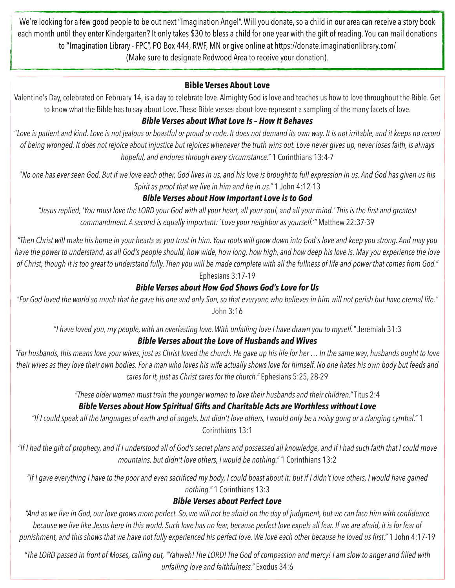We're looking for a few good people to be out next "Imagination Angel". Will you donate, so a child in our area can receive a story book each month until they enter Kindergarten? It only takes \$30 to bless a child for one year with the gift of reading. You can mail donations to "Imagination Library - FPC", PO Box 444, RWF, MN or give online at<https://donate.imaginationlibrary.com/> (Make sure to designate Redwood Area to receive your donation).

# **Bible Verses About Love**

Valentine's Day, celebrated on February 14, is a day to celebrate love. Almighty God is love and teaches us how to love throughout the Bible. Get to know what the Bible has to say about Love. These Bible verses about love represent a sampling of the many facets of love.

# *Bible Verses about What Love Is – How It Behaves*

"*Love is patient and kind. Love is not jealous or boastful or proud or rude. It does not demand its own way. It is not irritable, and it keeps no record of being wronged. It does not rejoice about injustice but rejoices whenever the truth wins out. Love never gives up, never loses faith, is always hopeful, and endures through every circumstance."* 1 Corinthians 13:4-7

"*No one has ever seen God. But if we love each other, God lives in us, and his love is brought to full expression in us. And God has given us his Spirit as proof that we live in him and he in us."* 1 John 4:12-13

# *Bible Verses about How Important Love is to God*

*"Jesus replied, 'You must love the LORD your God with all your heart, all your soul, and all your mind.' This is the first and greatest commandment. A second is equally important: `Love your neighbor as yourself.'"* Matthew 22:37-39

*"Then Christ will make his home in your hearts as you trust in him. Your roots will grow down into God's love and keep you strong. And may you*  have the power to understand, as all God's people should, how wide, how long, how high, and how deep his love is. May you experience the love *of Christ, though it is too great to understand fully. Then you will be made complete with all the fullness of life and power that comes from God."*

# Ephesians 3:17-19

# *Bible Verses about How God Shows God's Love for Us*

*"For God loved the world so much that he gave his one and only Son, so that everyone who believes in him will not perish but have eternal life."*  John 3:16

*"I have loved you, my people, with an everlasting love. With unfailing love I have drawn you to myself."* Jeremiah 31:3

# *Bible Verses about the Love of Husbands and Wives*

*"For husbands, this means love your wives, just as Christ loved the church. He gave up his life for her … In the same way, husbands ought to love their wives as they love their own bodies. For a man who loves his wife actually shows love for himself. No one hates his own body but feeds and cares for it, just as Christ cares for the church."* Ephesians 5:25, 28-29

*"These older women must train the younger women to love their husbands and their children."* Titus 2:4

# *Bible Verses about How Spiritual Gifts and Charitable Acts are Worthless without Love*

*"If I could speak all the languages of earth and of angels, but didn't love others, I would only be a noisy gong or a clanging cymbal."* 1 Corinthians 13:1

*"If I had the gift of prophecy, and if I understood all of God's secret plans and possessed all knowledge, and if I had such faith that I could move mountains, but didn't love others, I would be nothing."* 1 Corinthians 13:2

*"If I gave everything I have to the poor and even sacrificed my body, I could boast about it; but if I didn't love others, I would have gained nothing."* 1 Corinthians 13:3

# *Bible Verses about Perfect Love*

*"And as we live in God, our love grows more perfect. So, we will not be afraid on the day of judgment, but we can face him with confidence because we live like Jesus here in this world. Such love has no fear, because perfect love expels all fear. If we are afraid, it is for fear of punishment, and this shows that we have not fully experienced his perfect love. We love each other because he loved us first."* 1 John 4:17-19

*"The LORD passed in front of Moses, calling out, "Yahweh! The LORD! The God of compassion and mercy! I am slow to anger and filled with unfailing love and faithfulness."* Exodus 34:6